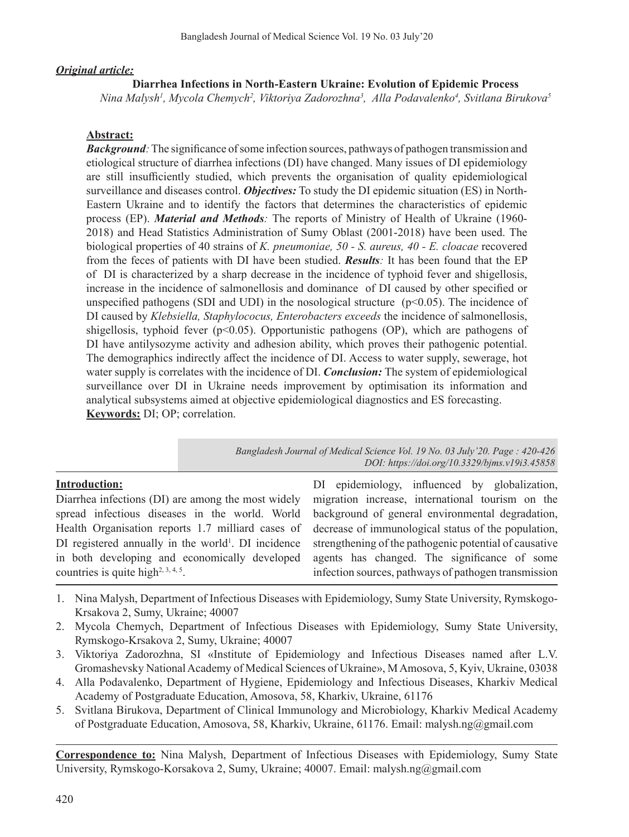# *Original article:*

# **Diarrhea Infections in North-Eastern Ukraine: Evolution of Epidemic Process**

*Nina Malysh1 , Mycola Chemych2 , Viktoriya Zadorozhna3 , Alla Podavalenko4 , Svitlana Birukova5*

# **Abstract:**

**Background**: The significance of some infection sources, pathways of pathogen transmission and etiological structure of diarrhea infections (DI) have changed. Many issues of DI epidemiology are still insufficiently studied, which prevents the organisation of quality epidemiological surveillance and diseases control. *Objectives:* To study the DI epidemic situation (ES) in North-Eastern Ukraine and to identify the factors that determines the characteristics of epidemic process (EP). *Material and Methods:* The reports of Ministry of Health of Ukraine (1960- 2018) and Head Statistics Administration of Sumy Oblast (2001-2018) have been used. The biological properties of 40 strains of *K. pneumoniae, 50 - S. aureus, 40 - E. cloacae* recovered from the feces of patients with DI have been studied. *Results:* It has been found that the EP of DI is characterized by a sharp decrease in the incidence of typhoid fever and shigellosis, increase in the incidence of salmonellosis and dominance of DI caused by other specified or unspecified pathogens (SDI and UDI) in the nosological structure  $(p<0.05)$ . The incidence of DI caused by *Klebsiella, Staphylococus, Enterobacters exceeds* the incidence of salmonellosis, shigellosis, typhoid fever  $(p<0.05)$ . Opportunistic pathogens (OP), which are pathogens of DI have antilysozyme activity and adhesion ability, which proves their pathogenic potential. The demographics indirectly affect the incidence of DI. Access to water supply, sewerage, hot water supply is correlates with the incidence of DI. *Conclusion:* The system of epidemiological surveillance over DI in Ukraine needs improvement by optimisation its information and analytical subsystems aimed at objective epidemiological diagnostics and ES forecasting. **Keywords:** DI; OP; correlation.

> *Bangladesh Journal of Medical Science Vol. 19 No. 03 July'20. Page : 420-426 DOI: https://doi.org/10.3329/bjms.v19i3.45858*

# **Introduction:**

Diarrhea infections (DI) are among the most widely spread infectious diseases in the world. World Health Organisation reports 1.7 milliard cases of  $DI$  registered annually in the world<sup>1</sup>. DI incidence in both developing and economically developed countries is quite high<sup> $2, 3, 4, 5$ </sup>.

DI epidemiology, influenced by globalization, migration increase, international tourism on the background of general environmental degradation, decrease of immunological status of the population, strengthening of the pathogenic potential of causative agents has changed. The significance of some infection sources, pathways of pathogen transmission

- 1. Nina Malysh, Department of Infectious Diseases with Epidemiology, Sumy State University, Rymskogo-Krsakova 2, Sumy, Ukraine; 40007
- 2. Mycola Chemych, Department of Infectious Diseases with Epidemiology, Sumy State University, Rymskogo-Krsakova 2, Sumy, Ukraine; 40007
- 3. Viktoriya Zadorozhna, SI «Institute of Epidemiology and Infectious Diseases named after L.V. Gromashevsky National Academy of Medical Sciences of Ukraine», M Amosova, 5, Kyiv, Ukraine, 03038
- 4. Alla Podavalenko, Department of Hygiene, Epidemiology and Infectious Diseases, Kharkiv Medical Academy of Postgraduate Education, Amosova, 58, Kharkiv, Ukraine, 61176
- 5. Svitlana Birukova, Department of Clinical Immunology and Microbiology, Kharkiv Medical Academy of Postgraduate Education, Amosova, 58, Kharkiv, Ukraine, 61176. Email: malysh.ng@gmail.com

**Correspondence to:** Nina Malysh, Department of Infectious Diseases with Epidemiology, Sumy State University, Rymskogo-Korsakova 2, Sumy, Ukraine; 40007. Email: malysh.ng@gmail.com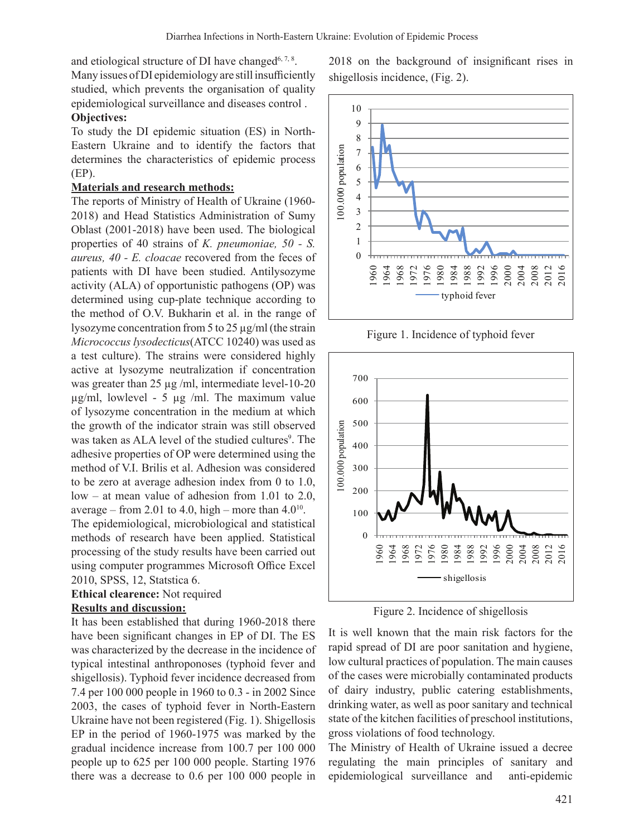and etiological structure of DI have changed<sup>6, 7, 8</sup>.

Many issues of DI epidemiology are still insufficiently studied, which prevents the organisation of quality epidemiological surveillance and diseases control . **Objectives:**

To study the DI epidemic situation (ES) in North-Eastern Ukraine and to identify the factors that determines the characteristics of epidemic process (EP).

#### **Materials and research methods:**

The reports of Ministry of Health of Ukraine (1960- 2018) and Head Statistics Administration of Sumy Oblast (2001-2018) have been used. The biological properties of 40 strains of *K. pneumoniae, 50 - S. aureus, 40 - E. cloacae* recovered from the feces of patients with DI have been studied. Antilysozyme activity (ALA) of opportunistic pathogens (OP) was determined using cup-plate technique according to the method of O.V. Bukharin et al. in the range of lysozyme concentration from 5 to 25  $\mu$ g/ml (the strain *Micrococcus lysodecticus*(ATCC 10240) was used as a test culture). The strains were considered highly active at lysozyme neutralization if concentration was greater than 25 µg /ml, intermediate level-10-20  $\mu$ g/ml, lowlevel - 5  $\mu$ g /ml. The maximum value of lysozyme concentration in the medium at which the growth of the indicator strain was still observed was taken as ALA level of the studied cultures<sup>9</sup>. The adhesive properties of OP were determined using the method of V.I. Brilis et al. Adhesion was considered to be zero at average adhesion index from 0 to 1.0, low – at mean value of adhesion from 1.01 to 2.0, average – from 2.01 to 4.0, high – more than  $4.0^{10}$ .

The epidemiological, microbiological and statistical methods of research have been applied. Statistical processing of the study results have been carried out using computer programmes Microsoft Office Excel 2010, SPSS, 12, Statstica 6.

### **Ethical clearence:** Not required

#### **Results and discussion:**

It has been established that during 1960-2018 there have been significant changes in EP of DI. The ES was characterized by the decrease in the incidence of typical intestinal anthroponoses (typhoid fever and shigellosis). Typhoid fever incidence decreased from 7.4 per 100 000 people in 1960 to 0.3 - in 2002 Since 2003, the cases of typhoid fever in North-Eastern Ukraine have not been registered (Fig. 1). Shigellosis EP in the period of 1960-1975 was marked by the gradual incidence increase from 100.7 per 100 000 people up to 625 per 100 000 people. Starting 1976 there was a decrease to 0.6 per 100 000 people in 2018 on the background of insignificant rises in shigellosis incidence, (Fig. 2).



Figure 1. Incidence of typhoid fever



Figure 2. Incidence of shigellosis

It is well known that the main risk factors for the rapid spread of DI are poor sanitation and hygiene, low cultural practices of population. The main causes of the cases were microbially contaminated products of dairy industry, public catering establishments, drinking water, as well as poor sanitary and technical state of the kitchen facilities of preschool institutions, gross violations of food technology.

The Ministry of Health of Ukraine issued a decree regulating the main principles of sanitary and epidemiological surveillance and anti-epidemic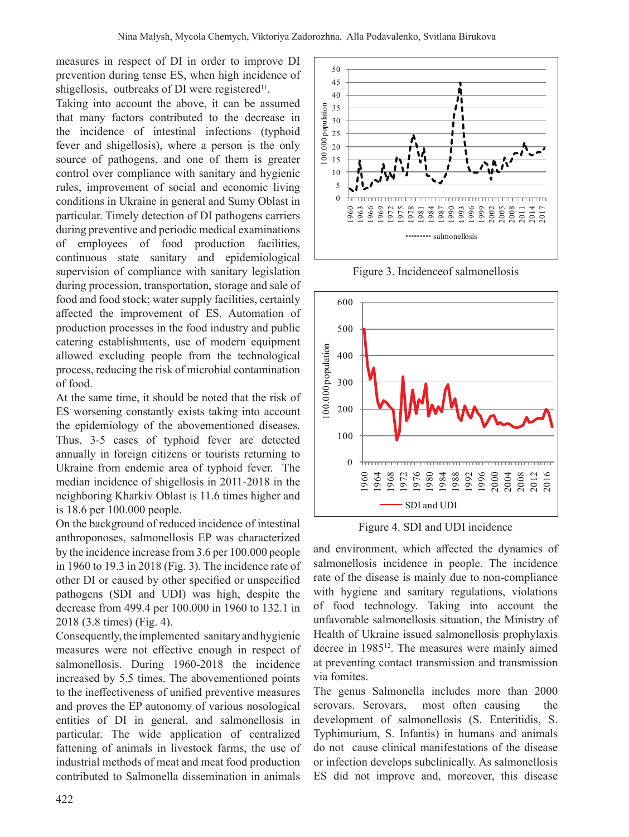measures in respect of DI in order to improve DI prevention during tense ES, when high incidence of shigellosis, outbreaks of DI were registered<sup>11</sup>.

Taking into account the above, it can be assumed that many factors contributed to the decrease in the incidence of intestinal infections (typhoid fever and shigellosis), where a person is the only source of pathogens, and one of them is greater control over compliance with sanitary and hygienic rules, improvement of social and economic living conditions in Ukraine in general and Sumy Oblast in particular. Timely detection of DI pathogens carriers during preventive and periodic medical examinations of employees of food production facilities, continuous state sanitary and epidemiological supervision of compliance with sanitary legislation during procession, transportation, storage and sale of food and food stock; water supply facilities, certainly affected the improvement of ES. Automation of production processes in the food industry and public catering establishments, use of modern equipment allowed excluding people from the technological process, reducing the risk of microbial contamination of food.

At the same time, it should be noted that the risk of ES worsening constantly exists taking into account the epidemiology of the abovementioned diseases. Thus, 3-5 cases of typhoid fever are detected annually in foreign citizens or tourists returning to Ukraine from endemic area of typhoid fever. The median incidence of shigellosis in 2011-2018 in the neighboring Kharkiv Oblast is 11.6 times higher and is 18.6 per 100.000 people.

On the background of reduced incidence of intestinal anthroponoses, salmonellosis EP was characterized by the incidence increase from 3.6 per 100.000 people in 1960 to 19.3 in 2018 (Fig. 3). The incidence rate of other DI or caused by other specified or unspecified pathogens (SDI and UDI) was high, despite the decrease from 499.4 per 100.000 in 1960 to 132.1 in 2018 (3.8 times) (Fig. 4).

Consequently, the implemented sanitary and hygienic measures were not effective enough in respect of salmonellosis. During 1960-2018 the incidence increased by 5.5 times. The abovementioned points to the ineffectiveness of unified preventive measures and proves the EP autonomy of various nosological entities of DI in general, and salmonellosis in particular. The wide application of centralized fattening of animals in livestock farms, the use of industrial methods of meat and meat food production contributed to Salmonella dissemination in animals



Figure 3. Incidenceof salmonellosis



Figure 4. SDI and UDI incidence

and environment, which affected the dynamics of salmonellosis incidence in people. The incidence rate of the disease is mainly due to non-compliance with hygiene and sanitary regulations, violations of food technology. Taking into account the unfavorable salmonellosis situation, the Ministry of Health of Ukraine issued salmonellosis prophylaxis decree in 1985<sup>12</sup>. The measures were mainly aimed at preventing contact transmission and transmission via fomites.

The genus Salmonella includes more than 2000 serovars. Serovars, most often causing the development of salmonellosis (S. Enteritidis, S. Typhimurium, S. Infantis) in humans and animals do not cause clinical manifestations of the disease or infection develops subclinically. As salmonellosis ES did not improve and, moreover, this disease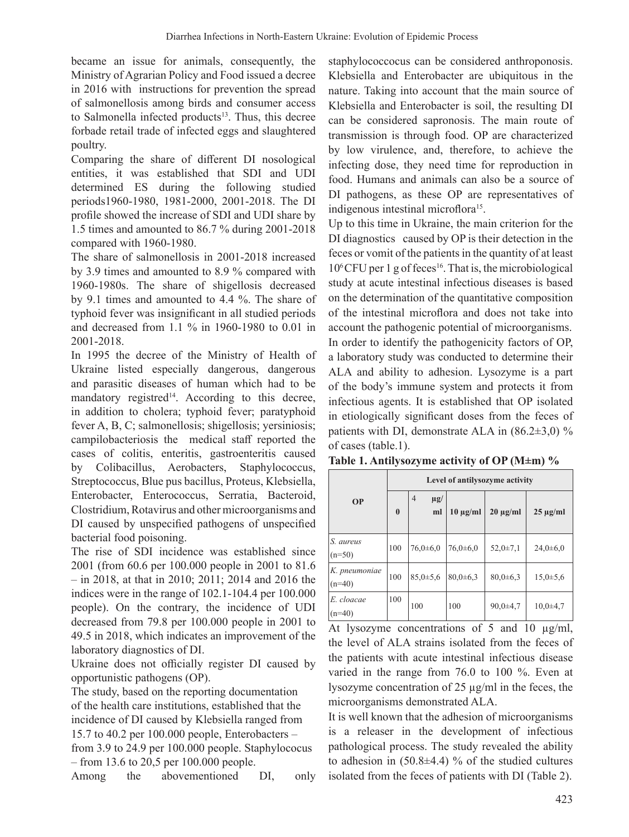became an issue for animals, consequently, the Ministry of Agrarian Policy and Food issued a decree in 2016 with instructions for prevention the spread of salmonellosis among birds and consumer access to Salmonella infected products $13$ . Thus, this decree forbade retail trade of infected eggs and slaughtered poultry.

Comparing the share of different DI nosological entities, it was established that SDI and UDI determined ES during the following studied periods1960-1980, 1981-2000, 2001-2018. The DI profile showed the increase of SDI and UDI share by 1.5 times and amounted to 86.7 % during 2001-2018 compared with 1960-1980.

The share of salmonellosis in 2001-2018 increased by 3.9 times and amounted to 8.9 % compared with 1960-1980s. The share of shigellosis decreased by 9.1 times and amounted to 4.4 %. The share of typhoid fever was insignificant in all studied periods and decreased from 1.1 % in 1960-1980 to 0.01 in 2001-2018.

In 1995 the decree of the Ministry of Health of Ukraine listed especially dangerous, dangerous and parasitic diseases of human which had to be mandatory registred<sup>14</sup>. According to this decree, in addition to cholera; typhoid fever; paratyphoid fever A, B, C; salmonellosis; shigellosis; yersiniosis; campilobacteriosis the medical staff reported the cases of colitis, enteritis, gastroenteritis caused by Colibacillus, Aerobacters, Staphylococcus, Streptococcus, Blue pus bacillus, Proteus, Klebsiella, Enterobacter, Enterococcus, Serratia, Bacteroid, Clostridium, Rotavirus and other microorganisms and DI caused by unspecified pathogens of unspecified bacterial food poisoning.

The rise of SDI incidence was established since 2001 (from 60.6 per 100.000 people in 2001 to 81.6 – in 2018, at that in 2010; 2011; 2014 and 2016 the indices were in the range of 102.1-104.4 per 100.000 people). On the contrary, the incidence of UDI decreased from 79.8 per 100.000 people in 2001 to 49.5 in 2018, which indicates an improvement of the laboratory diagnostics of DI.

Ukraine does not officially register DI caused by opportunistic pathogens (OP).

The study, based on the reporting documentation of the health care institutions, established that the incidence of DI caused by Klebsiella ranged from 15.7 to 40.2 per 100.000 people, Enterobacters – from 3.9 to 24.9 per 100.000 people. Staphylococus – from 13.6 to 20,5 per 100.000 people.

Among the abovementioned DI, only

staphylococcocus can be considered anthroponosis. Klebsiella and Enterobacter are ubiquitous in the nature. Taking into account that the main source of Klebsiella and Enterobacter is soil, the resulting DI can be considered sapronosis. The main route of transmission is through food. OP are characterized by low virulence, and, therefore, to achieve the infecting dose, they need time for reproduction in food. Humans and animals can also be a source of DI pathogens, as these OP are representatives of indigenous intestinal microflora<sup>15</sup>.

Up to this time in Ukraine, the main criterion for the DI diagnostiсs caused by OP is their detection in the feces or vomit of the patients in the quantity of at least 10<sup>6</sup>CFU per 1 g of feces<sup>16</sup>. That is, the microbiological study at acute intestinal infectious diseases is based on the determination of the quantitative composition of the intestinal microflora and does not take into account the pathogenic potential of microorganisms. In order to identify the pathogenicity factors of OP, a laboratory study was conducted to determine their ALA and ability to adhesion. Lysozyme is a part of the body's immune system and protects it from infectious agents. It is established that OP isolated in etiologically significant doses from the feces of patients with DI, demonstrate ALA in  $(86.2\pm3.0)$  % of cases (table.1).

**Table 1. Antilysozyme activity of OP (M±m) %**

|                           | Level of antilysozyme activity |                                  |                |                |                |  |
|---------------------------|--------------------------------|----------------------------------|----------------|----------------|----------------|--|
| <b>OP</b>                 | $\bf{0}$                       | $\overline{4}$<br>$\mu$ g/<br>ml | $10 \mu g/ml$  | $20 \mu g/ml$  | $25 \mu g/ml$  |  |
| S. aureus<br>$(n=50)$     | 100                            | $76,0{\pm}6,0$                   | $76,0{\pm}6,0$ | $52,0 \pm 7,1$ | $24,0{\pm}6,0$ |  |
| K. pneumoniae<br>$(n=40)$ | 100                            | $85,0{\pm}5,6$                   | $80,0{\pm}6,3$ | $80,0{\pm}6,3$ | $15,0{\pm}5,6$ |  |
| E. cloacae<br>$(n=40)$    | 100                            | 100                              | 100            | $90,0{\pm}4,7$ | $10,0{\pm}4,7$ |  |

At lysozyme concentrations of 5 and 10  $\mu$ g/ml, the level of ALA strains isolated from the feces of the patients with acute intestinal infectious disease varied in the range from 76.0 to 100 %. Even at lysozyme concentration of 25 µg/ml in the feces, the microorganisms demonstrated ALA.

It is well known that the adhesion of microorganisms is a releaser in the development of infectious pathological process. The study revealed the ability to adhesion in  $(50.8\pm4.4)$  % of the studied cultures isolated from the feces of patients with DI (Table 2).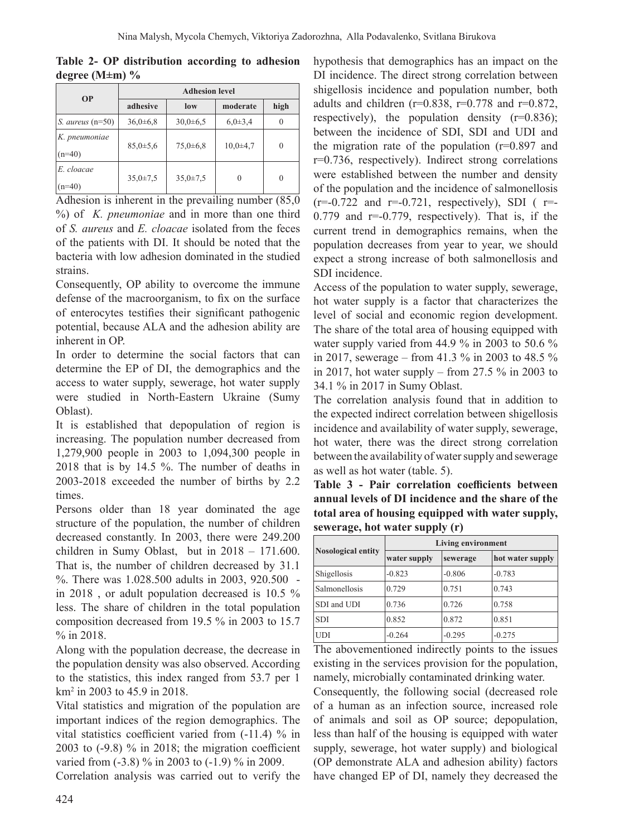|                      |  | Table 2- OP distribution according to adhesion |  |  |
|----------------------|--|------------------------------------------------|--|--|
| degree (M $\pm$ m) % |  |                                                |  |  |

| <b>OP</b>                 | <b>Adhesion level</b> |                |                |          |  |  |
|---------------------------|-----------------------|----------------|----------------|----------|--|--|
|                           | adhesive              | low            | moderate       | high     |  |  |
| $S.$ aureus (n=50)        | $36,0{\pm}6,8$        | $30,0{\pm}6,5$ | $6,0{\pm}3,4$  |          |  |  |
| K. pneumoniae<br>$(n=40)$ | $85,0{\pm}5,6$        | $75,0{\pm}6,8$ | $10,0{\pm}4,7$ |          |  |  |
| E. cloacae<br>$(n=40)$    | $35,0 \pm 7,5$        | $35,0 \pm 7,5$ | 0              | $\Omega$ |  |  |

Adhesion is inherent in the prevailing number (85,0) %) of *K. pneumoniae* and in more than one third of *S. aureus* and *E. cloacae* isolated from the feces of the patients with DI. It should be noted that the bacteria with low adhesion dominated in the studied strains.

Consequently, OP ability to overcome the immune defense of the macroorganism, to fix on the surface of enterocytes testifies their significant pathogenic potential, because ALA and the adhesion ability are inherent in OP.

In order to determine the social factors that can determine the EP of DI, the demographics and the access to water supply, sewerage, hot water supply were studied in North-Eastern Ukraine (Sumy Oblast).

It is established that depopulation of region is increasing. The population number decreased from 1,279,900 people in 2003 to 1,094,300 people in 2018 that is by 14.5 %. The number of deaths in 2003-2018 exceeded the number of births by 2.2 times.

Persons older than 18 year dominated the age structure of the population, the number of children decreased constantly. In 2003, there were 249.200 children in Sumy Oblast, but in 2018 – 171.600. That is, the number of children decreased by 31.1 %. There was 1.028.500 adults in 2003, 920.500 in 2018 , or adult population decreased is 10.5 % less. The share of children in the total population composition decreased from 19.5 % in 2003 to 15.7 % in 2018.

Along with the population decrease, the decrease in the population density was also observed. According to the statistics, this index ranged from 53.7 per 1 km<sup>2</sup> in 2003 to 45.9 in 2018.

Vital statistics and migration of the population are important indices of the region demographics. The vital statistics coefficient varied from (-11.4) % in 2003 to (-9.8) % in 2018; the migration coefficient varied from (-3.8) % in 2003 to (-1.9) % in 2009.

Correlation analysis was carried out to verify the

hypothesis that demographics has an impact on the DI incidence. The direct strong correlation between shigellosis incidence and population number, both adults and children ( $r=0.838$ ,  $r=0.778$  and  $r=0.872$ , respectively), the population density  $(r=0.836)$ ; between the incidence of SDI, SDI and UDI and the migration rate of the population  $(r=0.897)$  and r=0.736, respectively). Indirect strong correlations were established between the number and density of the population and the incidence of salmonellosis  $(r=-0.722$  and  $r=-0.721$ , respectively), SDI ( $r= 0.779$  and  $r=0.779$ , respectively). That is, if the current trend in demographics remains, when the population decreases from year to year, we should expect a strong increase of both salmonellosis and SDI incidence.

Access of the population to water supply, sewerage, hot water supply is a factor that characterizes the level of social and economic region development. The share of the total area of housing equipped with water supply varied from 44.9 % in 2003 to 50.6 % in 2017, sewerage – from 41.3 % in 2003 to 48.5 % in 2017, hot water supply – from 27.5  $%$  in 2003 to 34.1 % in 2017 in Sumy Oblast.

The correlation analysis found that in addition to the expected indirect correlation between shigellosis incidence and availability of water supply, sewerage, hot water, there was the direct strong correlation between the availability of water supply and sewerage as well as hot water (table. 5).

**Table 3 - Pair correlation coefficients between annual levels of DI incidence and the share of the total area of housing equipped with water supply, sewerage, hot water supply (r)**

|                           | <b>Living environment</b> |          |                  |  |  |
|---------------------------|---------------------------|----------|------------------|--|--|
| <b>Nosological entity</b> | water supply              | sewerage | hot water supply |  |  |
| Shigellosis               | $-0.823$                  | $-0.806$ | $-0.783$         |  |  |
| <b>Salmonellosis</b>      | 0.729                     | 0.751    | 0.743            |  |  |
| SDI and UDI               | 0.736                     | 0.726    | 0.758            |  |  |
| <b>SDI</b>                | 0.852                     | 0.872    | 0.851            |  |  |
| <b>UDI</b>                | $-0.264$                  | $-0.295$ | $-0.275$         |  |  |

The abovementioned indirectly points to the issues existing in the services provision for the population, namely, microbially contaminated drinking water.

Consequently, the following social (decreased role of a human as an infection source, increased role of animals and soil as OP source; depopulation, less than half of the housing is equipped with water supply, sewerage, hot water supply) and biological (OP demonstrate ALA and adhesion ability) factors have changed EP of DI, namely they decreased the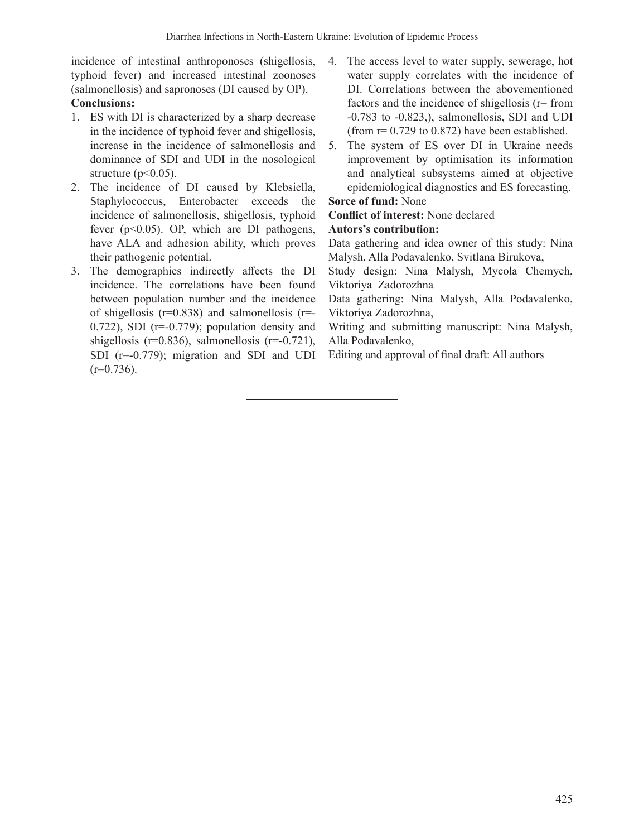incidence of intestinal anthroponoses (shigellosis, typhoid fever) and increased intestinal zoonoses (salmonellosis) and sapronoses (DI caused by OP). **Conclusions:**

- 1. ES with DI is characterized by a sharp decrease in the incidence of typhoid fever and shigellosis, increase in the incidence of salmonellosis and dominance of SDI and UDI in the nosological structure  $(p<0.05)$ .
- 2. The incidence of DI caused by Klebsiella, Staphylococcus, Enterobacter exceeds the incidence of salmonellosis, shigellosis, typhoid fever (p<0.05). OP, which are DI pathogens, have ALA and adhesion ability, which proves their pathogenic potential.
- 3. The demographics indirectly affects the DI incidence. The correlations have been found between population number and the incidence of shigellosis ( $r=0.838$ ) and salmonellosis ( $r=$ 0.722), SDI ( $r=-0.779$ ); population density and shigellosis (r=0.836), salmonellosis (r=-0.721), SDI (r=-0.779); migration and SDI and UDI  $(r=0.736)$ .
- 4. The access level to water supply, sewerage, hot water supply correlates with the incidence of DI. Correlations between the abovementioned factors and the incidence of shigellosis (r= from -0.783 to -0.823,), salmonellosis, SDI and UDI (from  $r= 0.729$  to 0.872) have been established.
- 5. The system of ES over DI in Ukraine needs improvement by optimisation its information and analytical subsystems aimed at objective epidemiological diagnostics and ES forecasting.

# **Sorce of fund:** None

**Conflict of interest:** None declared

# **Autors's contribution:**

Data gathering and idea owner of this study: Nina Malysh, Alla Podavalenko, Svitlana Birukova,

Study design: Nina Malysh, Mycola Chemych, Viktoriya Zadorozhna

Data gathering: Nina Malysh, Alla Podavalenko, Viktoriya Zadorozhna,

Writing and submitting manuscript: Nina Malysh, Alla Podavalenko,

Editing and approval of final draft: All authors